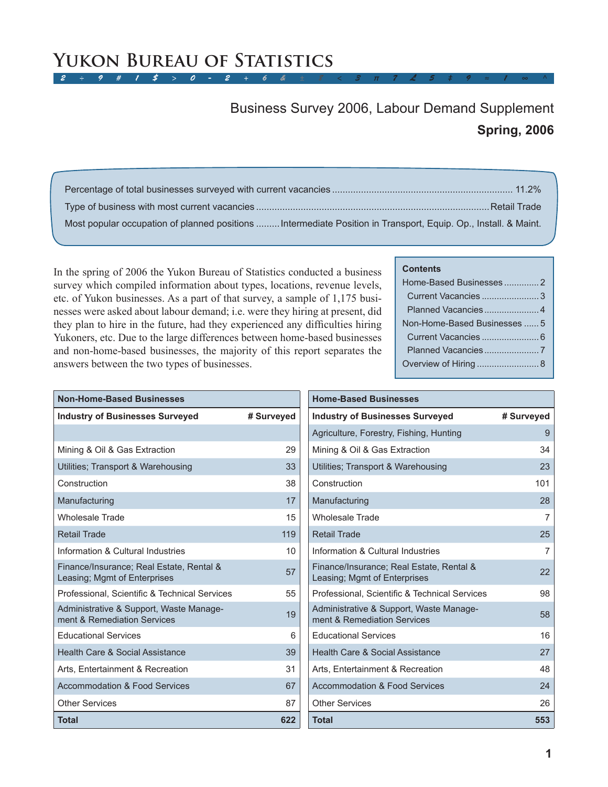#### $2 \div 9$  # 1 \$ > 0 - 2 + 6 & **Yukon Bureau of Statistics**

# **Spring, 2006** Business Survey 2006, Labour Demand Supplement

| Most popular occupation of planned positions  Intermediate Position in Transport, Equip. Op., Install. & Maint. |  |
|-----------------------------------------------------------------------------------------------------------------|--|

In the spring of 2006 the Yukon Bureau of Statistics conducted a business survey which compiled information about types, locations, revenue levels, etc. of Yukon businesses. As a part of that survey, a sample of 1,175 businesses were asked about labour demand; i.e. were they hiring at present, did they plan to hire in the future, had they experienced any difficulties hiring Yukoners, etc. Due to the large differences between home-based businesses and non-home-based businesses, the majority of this report separates the answers between the two types of businesses.

#### **Contents**

| Planned Vacancies 4          |
|------------------------------|
| Non-Home-Based Businesses  5 |
|                              |
|                              |
| Overview of Hiring  8        |
|                              |

| <b>Non-Home-Based Businesses</b>                                         |            |
|--------------------------------------------------------------------------|------------|
| <b>Industry of Businesses Surveyed</b>                                   | # Surveyed |
|                                                                          |            |
| Mining & Oil & Gas Extraction                                            | 29         |
| Utilities; Transport & Warehousing                                       | 33         |
| Construction                                                             | 38         |
| Manufacturing                                                            | 17         |
| <b>Wholesale Trade</b>                                                   | 15         |
| <b>Retail Trade</b>                                                      | 119        |
| Information & Cultural Industries                                        | 10         |
| Finance/Insurance; Real Estate, Rental &<br>Leasing; Mgmt of Enterprises | 57         |
| Professional, Scientific & Technical Services                            | 55         |
| Administrative & Support, Waste Manage-<br>ment & Remediation Services   | 19         |
| <b>Educational Services</b>                                              | 6          |
| Health Care & Social Assistance                                          | 39         |
| Arts, Entertainment & Recreation                                         | 31         |
| <b>Accommodation &amp; Food Services</b>                                 | 67         |
| <b>Other Services</b>                                                    | 87         |
| <b>Total</b>                                                             | 622        |

| <b>Home-Based Businesses</b>                                             |            |
|--------------------------------------------------------------------------|------------|
| <b>Industry of Businesses Surveyed</b>                                   | # Surveyed |
| Agriculture, Forestry, Fishing, Hunting                                  | 9          |
| Mining & Oil & Gas Extraction                                            | 34         |
| Utilities: Transport & Warehousing                                       | 23         |
| Construction                                                             | 101        |
| Manufacturing                                                            | 28         |
| <b>Wholesale Trade</b>                                                   | 7          |
| Retail Trade                                                             | 25         |
| Information & Cultural Industries                                        | 7          |
| Finance/Insurance; Real Estate, Rental &<br>Leasing; Mgmt of Enterprises | 22         |
| Professional, Scientific & Technical Services                            | 98         |
| Administrative & Support, Waste Manage-<br>ment & Remediation Services   | 58         |
| <b>Educational Services</b>                                              | 16         |
| Health Care & Social Assistance                                          | 27         |
| Arts, Entertainment & Recreation                                         | 48         |
| <b>Accommodation &amp; Food Services</b>                                 | 24         |
| <b>Other Services</b>                                                    | 26         |
| <b>Total</b>                                                             | 553        |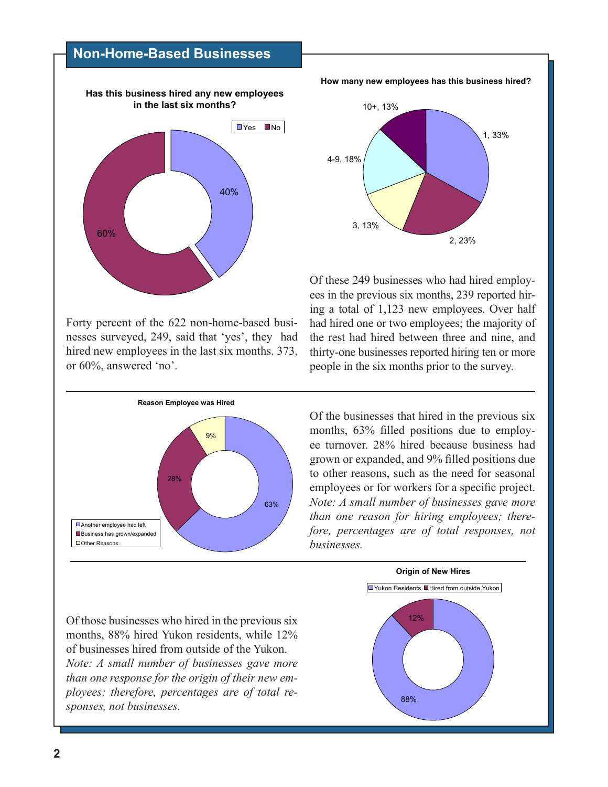### **Non-Home-Based Businesses**



**How many new employees has this business hired?**



Of these 249 businesses who had hired employees in the previous six months, 239 reported hiring a total of 1,123 new employees. Over half had hired one or two employees; the majority of the rest had hired between three and nine, and thirty-one businesses reported hiring ten or more people in the six months prior to the survey.

Forty percent of the 622 non-home-based businesses surveyed, 249, said that 'yes', they had hired new employees in the last six months. 373, or 60%, answered 'no'.



Of the businesses that hired in the previous six months, 63% filled positions due to employee turnover. 28% hired because business had grown or expanded, and 9% filled positions due to other reasons, such as the need for seasonal employees or for workers for a specific project. *Note: A small number of businesses gave more than one reason for hiring employees; therefore, percentages are of total responses, not businesses.*

Of those businesses who hired in the previous six months, 88% hired Yukon residents, while 12% of businesses hired from outside of the Yukon. *Note: A small number of businesses gave more than one response for the origin of their new employees; therefore, percentages are of total responses, not businesses.*

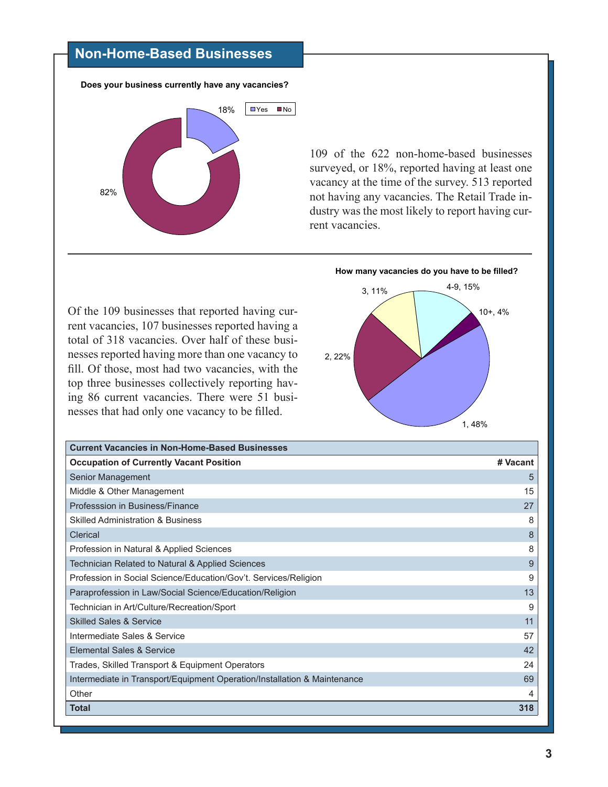# **Non-Home-Based Businesses**



109 of the 622 non-home-based businesses surveyed, or 18%, reported having at least one vacancy at the time of the survey. 513 reported not having any vacancies. The Retail Trade industry was the most likely to report having current vacancies.

Of the 109 businesses that reported having current vacancies, 107 businesses reported having a total of 318 vacancies. Over half of these businesses reported having more than one vacancy to fill. Of those, most had two vacancies, with the top three businesses collectively reporting having 86 current vacancies. There were 51 businesses that had only one vacancy to be filled.



| <b>Current Vacancies in Non-Home-Based Businesses</b>                    |          |
|--------------------------------------------------------------------------|----------|
| <b>Occupation of Currently Vacant Position</b>                           | # Vacant |
| Senior Management                                                        | 5        |
| Middle & Other Management                                                | 15       |
| Professsion in Business/Finance                                          | 27       |
| <b>Skilled Administration &amp; Business</b>                             | 8        |
| Clerical                                                                 | 8        |
| Profession in Natural & Applied Sciences                                 | 8        |
| Technician Related to Natural & Applied Sciences                         | 9        |
| Profession in Social Science/Education/Gov't. Services/Religion          | 9        |
| Paraprofession in Law/Social Science/Education/Religion                  | 13       |
| Technician in Art/Culture/Recreation/Sport                               | 9        |
| <b>Skilled Sales &amp; Service</b>                                       | 11       |
| Intermediate Sales & Service                                             | 57       |
| Elemental Sales & Service                                                | 42       |
| Trades, Skilled Transport & Equipment Operators                          | 24       |
| Intermediate in Transport/Equipment Operation/Installation & Maintenance | 69       |
| Other                                                                    | 4        |
| <b>Total</b>                                                             | 318      |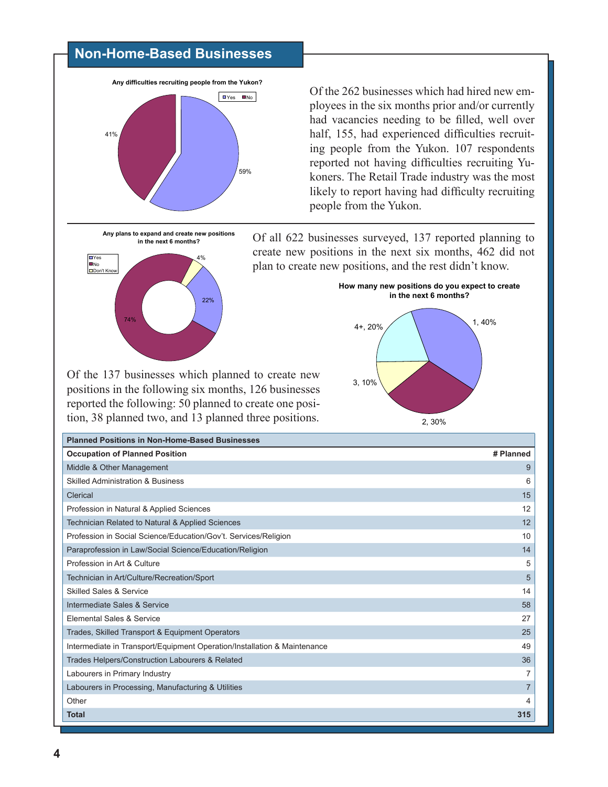## **Non-Home-Based Businesses**



Of the 262 businesses which had hired new employees in the six months prior and/or currently had vacancies needing to be filled, well over half, 155, had experienced difficulties recruiting people from the Yukon. 107 respondents reported not having difficulties recruiting Yukoners. The Retail Trade industry was the most likely to report having had difficulty recruiting people from the Yukon.

**Any plans to expand and create new positions in the next 6 months?**



Of all 622 businesses surveyed, 137 reported planning to create new positions in the next six months, 462 did not plan to create new positions, and the rest didn't know.



Of the 137 businesses which planned to create new positions in the following six months, 126 businesses reported the following: 50 planned to create one position, 38 planned two, and 13 planned three positions.

| <b>Planned Positions in Non-Home-Based Businesses</b>                    |                |
|--------------------------------------------------------------------------|----------------|
| <b>Occupation of Planned Position</b>                                    | # Planned      |
| Middle & Other Management                                                | 9              |
| <b>Skilled Administration &amp; Business</b>                             | 6              |
| Clerical                                                                 | 15             |
| Profession in Natural & Applied Sciences                                 | 12             |
| Technician Related to Natural & Applied Sciences                         | 12             |
| Profession in Social Science/Education/Gov't. Services/Religion          | 10             |
| Paraprofession in Law/Social Science/Education/Religion                  | 14             |
| Profession in Art & Culture                                              | 5              |
| Technician in Art/Culture/Recreation/Sport                               | 5              |
| <b>Skilled Sales &amp; Service</b>                                       | 14             |
| Intermediate Sales & Service                                             | 58             |
| Elemental Sales & Service                                                | 27             |
| Trades, Skilled Transport & Equipment Operators                          | 25             |
| Intermediate in Transport/Equipment Operation/Installation & Maintenance | 49             |
| Trades Helpers/Construction Labourers & Related                          | 36             |
| Labourers in Primary Industry                                            | 7              |
| Labourers in Processing, Manufacturing & Utilities                       | $\overline{7}$ |
| Other                                                                    | 4              |
| <b>Total</b>                                                             | 315            |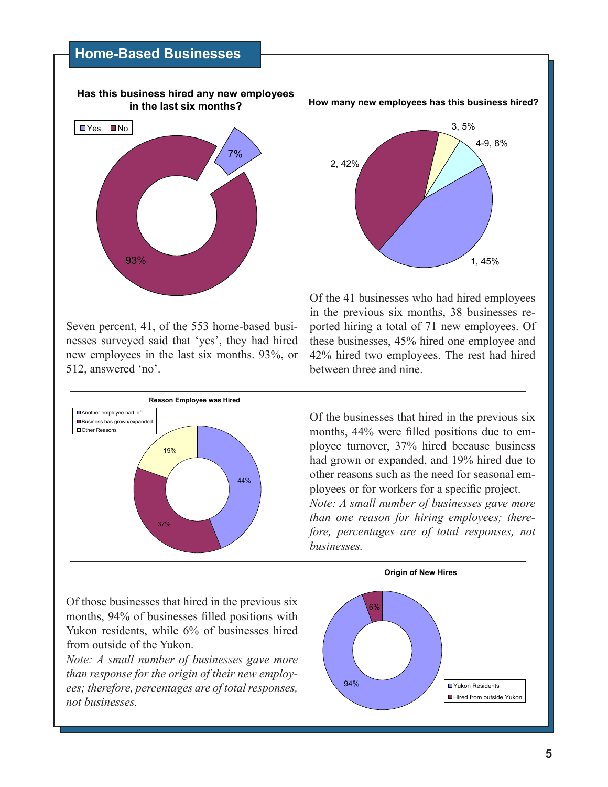### **Home-Based Businesses**



Seven percent, 41, of the 553 home-based businesses surveyed said that 'yes', they had hired new employees in the last six months. 93%, or 512, answered 'no'.



**How many new employees has this business hired?**



Of the 41 businesses who had hired employees in the previous six months, 38 businesses reported hiring a total of 71 new employees. Of these businesses, 45% hired one employee and 42% hired two employees. The rest had hired between three and nine.

Of the businesses that hired in the previous six months, 44% were filled positions due to employee turnover, 37% hired because business had grown or expanded, and 19% hired due to other reasons such as the need for seasonal employees or for workers for a specific project. *Note: A small number of businesses gave more than one reason for hiring employees; therefore, percentages are of total responses, not businesses.*

Of those businesses that hired in the previous six months, 94% of businesses filled positions with Yukon residents, while 6% of businesses hired from outside of the Yukon.

*Note: A small number of businesses gave more than response for the origin of their new employees; therefore, percentages are of total responses, not businesses.*

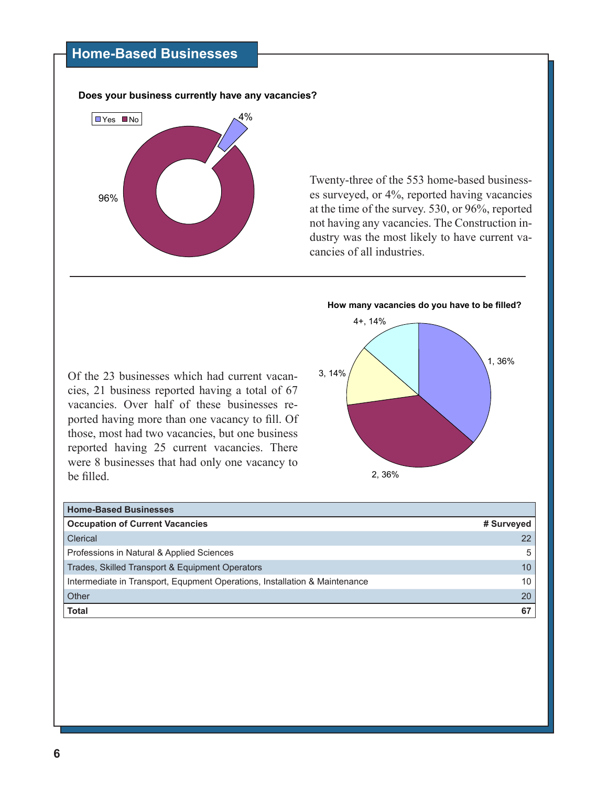# **Home-Based Businesses**

**Does your business currently have any vacancies?**



Twenty-three of the 553 home-based businesses surveyed, or 4%, reported having vacancies at the time of the survey. 530, or 96%, reported not having any vacancies. The Construction industry was the most likely to have current vacancies of all industries.





Of the 23 businesses which had current vacancies, 21 business reported having a total of 67 vacancies. Over half of these businesses reported having more than one vacancy to fill. Of those, most had two vacancies, but one business reported having 25 current vacancies. There were 8 businesses that had only one vacancy to be filled.

| <b>Home-Based Businesses</b>                                               |            |
|----------------------------------------------------------------------------|------------|
| <b>Occupation of Current Vacancies</b>                                     | # Surveyed |
| Clerical                                                                   | 22         |
| Professions in Natural & Applied Sciences                                  | 5          |
| Trades, Skilled Transport & Equipment Operators                            | 10         |
| Intermediate in Transport, Equpment Operations, Installation & Maintenance | 10         |
| Other                                                                      | 20         |
| <b>Total</b>                                                               | 67         |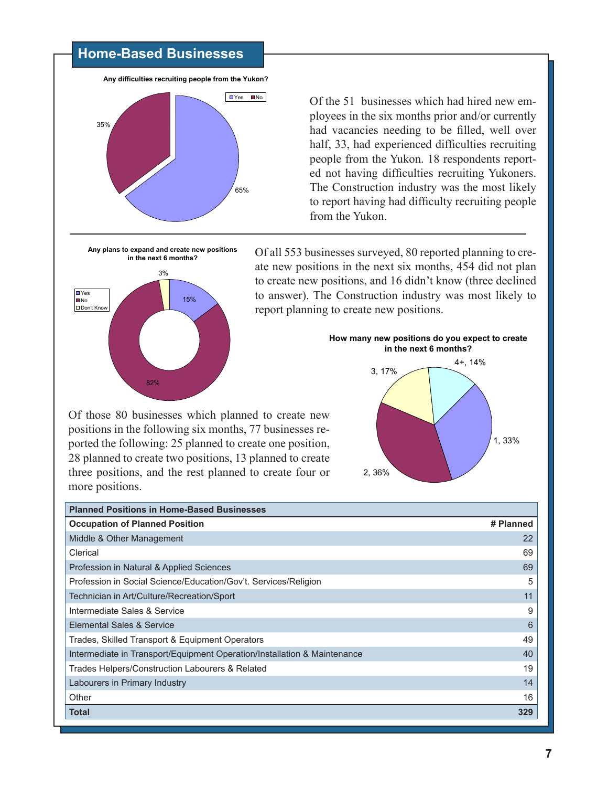#### **Home-Based Businesses**

**Any difficulties recruiting people from the Yukon?**



Of the 51 businesses which had hired new employees in the six months prior and/or currently had vacancies needing to be filled, well over half, 33, had experienced difficulties recruiting people from the Yukon. 18 respondents reported not having difficulties recruiting Yukoners. The Construction industry was the most likely to report having had difficulty recruiting people from the Yukon.

**Any plans to expand and create new positions in the next 6 months?** 15% 3% **D**Yes **D**No Don't Know

82%

Of all 553 businesses surveyed, 80 reported planning to create new positions in the next six months, 454 did not plan to create new positions, and 16 didn't know (three declined to answer). The Construction industry was most likely to report planning to create new positions.

Of those 80 businesses which planned to create new positions in the following six months, 77 businesses reported the following: 25 planned to create one position, 28 planned to create two positions, 13 planned to create three positions, and the rest planned to create four or more positions.



| <b>Planned Positions in Home-Based Businesses</b>                        |           |
|--------------------------------------------------------------------------|-----------|
| <b>Occupation of Planned Position</b>                                    | # Planned |
| Middle & Other Management                                                | 22        |
| Clerical                                                                 | 69        |
| Profession in Natural & Applied Sciences                                 | 69        |
| Profession in Social Science/Education/Gov't. Services/Religion          | 5         |
| Technician in Art/Culture/Recreation/Sport                               | 11        |
| Intermediate Sales & Service                                             | 9         |
| Elemental Sales & Service                                                | 6         |
| Trades, Skilled Transport & Equipment Operators                          | 49        |
| Intermediate in Transport/Equipment Operation/Installation & Maintenance | 40        |
| Trades Helpers/Construction Labourers & Related                          | 19        |
| Labourers in Primary Industry                                            | 14        |
| Other                                                                    | 16        |
| <b>Total</b>                                                             | 329       |